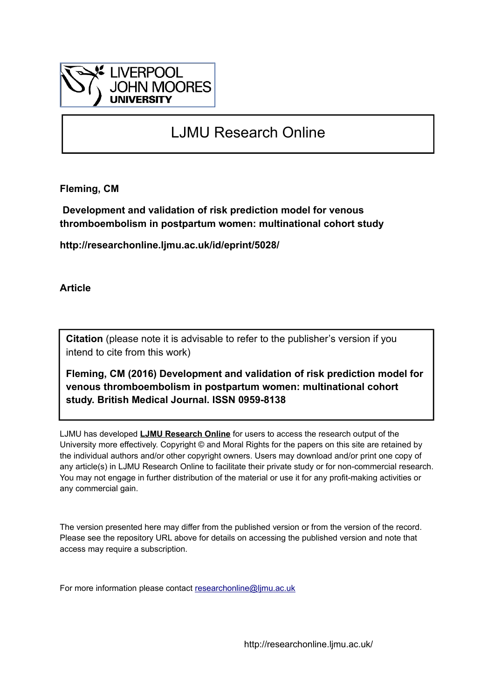

# LJMU Research Online

**Fleming, CM**

 **Development and validation of risk prediction model for venous thromboembolism in postpartum women: multinational cohort study**

**http://researchonline.ljmu.ac.uk/id/eprint/5028/**

**Article**

**Citation** (please note it is advisable to refer to the publisher's version if you intend to cite from this work)

**Fleming, CM (2016) Development and validation of risk prediction model for venous thromboembolism in postpartum women: multinational cohort study. British Medical Journal. ISSN 0959-8138** 

LJMU has developed **[LJMU Research Online](http://researchonline.ljmu.ac.uk/)** for users to access the research output of the University more effectively. Copyright © and Moral Rights for the papers on this site are retained by the individual authors and/or other copyright owners. Users may download and/or print one copy of any article(s) in LJMU Research Online to facilitate their private study or for non-commercial research. You may not engage in further distribution of the material or use it for any profit-making activities or any commercial gain.

The version presented here may differ from the published version or from the version of the record. Please see the repository URL above for details on accessing the published version and note that access may require a subscription.

For more information please contact [researchonline@ljmu.ac.uk](mailto:researchonline@ljmu.ac.uk)

http://researchonline.ljmu.ac.uk/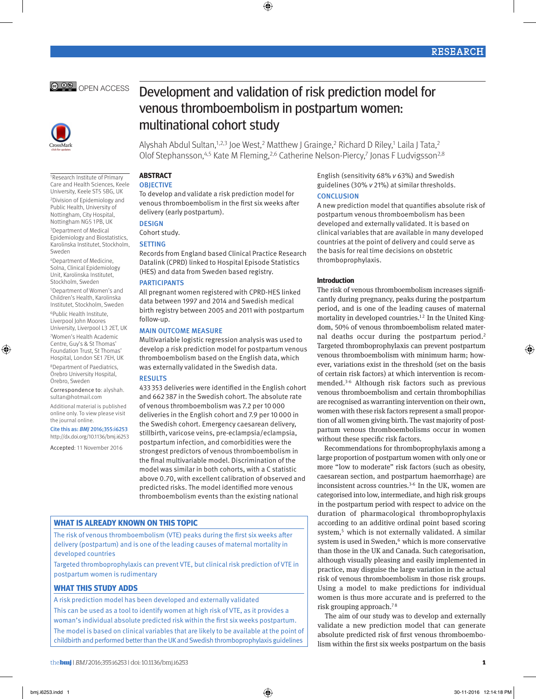



1Research Institute of Primary Care and Health Sciences, Keele University, Keele ST5 5BG, UK 2Division of Epidemiology and Public Health, University of Nottingham, City Hospital, Nottingham NG5 1PB, UK

3Department of Medical Epidemiology and Biostatistics, Karolinska Institutet, Stockholm, Sweden

4Department of Medicine, Solna, Clinical Epidemiology Unit, Karolinska Institutet, Stockholm, Sweden

5Department of Women's and Children's Health, Karolinska Institutet, Stockholm, Sweden

6Public Health Institute, Liverpool John Moores University, Liverpool L3 2ET, UK

7 Women's Health Academic Centre, Guy's & St Thomas'

Foundation Trust, St Thomas' Hospital, London SE1 7EH, UK 8Department of Paediatrics, Örebro University Hospital, Örebro, Sweden

Correspondence to: alyshah. sultan@hotmail.com

Additional material is published online only. To view please visit the journal online.

Cite this as: *BMJ* 2016;355:i6253 http://dx.doi.org/10.1136/bmj.i6253

Accepted: 11 November 2016

# Development and validation of risk prediction model for venous thromboembolism in postpartum women: multinational cohort study

Alyshah Abdul Sultan,<sup>1,2,3</sup> Joe West,<sup>2</sup> Matthew J Grainge,<sup>2</sup> Richard D Riley,<sup>1</sup> Laila J Tata,<sup>2</sup> Olof Stephansson, 4,5 Kate M Fleming, 2,6 Catherine Nelson-Piercy, 7 Jonas F Ludvigsson<sup>2,8</sup>

# **ABSTRACT**

#### **OBJECTIVE**

To develop and validate a risk prediction model for venous thromboembolism in the first six weeks after delivery (early postpartum).

## **DESIGN**

Cohort study.

## **SETTING**

Records from England based Clinical Practice Research Datalink (CPRD) linked to Hospital Episode Statistics (HES) and data from Sweden based registry.

#### **PARTICIPANTS**

All pregnant women registered with CPRD-HES linked data between 1997 and 2014 and Swedish medical birth registry between 2005 and 2011 with postpartum follow-up.

#### Main outcome measure

Multivariable logistic regression analysis was used to develop a risk prediction model for postpartum venous thromboembolism based on the English data, which was externally validated in the Swedish data.

## **RESULTS**

433353 deliveries were identified in the English cohort and 662387 in the Swedish cohort. The absolute rate of venous thromboembolism was 7.2 per 10000 deliveries in the English cohort and 7.9 per 10000 in the Swedish cohort. Emergency caesarean delivery, stillbirth, varicose veins, pre-eclampsia/eclampsia, postpartum infection, and comorbidities were the strongest predictors of venous thromboembolism in the final multivariable model. Discrimination of the model was similar in both cohorts, with a C statistic above 0.70, with excellent calibration of observed and predicted risks. The model identified more venous thromboembolism events than the existing national

## **What is already known on this topic**

The risk of venous thromboembolism (VTE) peaks during the first six weeks after delivery (postpartum) and is one of the leading causes of maternal mortality in developed countries

Targeted thromboprophylaxis can prevent VTE, but clinical risk prediction of VTE in postpartum women is rudimentary

## **What this study adds**

A risk prediction model has been developed and externally validated

This can be used as a tool to identify women at high risk of VTE, as it provides a woman's individual absolute predicted risk within the first six weeks postpartum. The model is based on clinical variables that are likely to be available at the point of childbirth and performed better than the UK and Swedish thromboprophylaxis guidelines

English (sensitivity 68% *v* 63%) and Swedish guidelines (30% *v* 21%) at similar thresholds.

## **CONCLUSION**

A new prediction model that quantifies absolute risk of postpartum venous thromboembolism has been developed and externally validated. It is based on clinical variables that are available in many developed countries at the point of delivery and could serve as the basis for real time decisions on obstetric thromboprophylaxis.

## **Introduction**

The risk of venous thromboembolism increases significantly during pregnancy, peaks during the postpartum period, and is one of the leading causes of maternal mortality in developed countries.<sup>12</sup> In the United Kingdom, 50% of venous thromboembolism related maternal deaths occur during the postpartum period.<sup>2</sup> Targeted thromboprophylaxis can prevent postpartum venous thromboembolism with minimum harm; however, variations exist in the threshold (set on the basis of certain risk factors) at which intervention is recommended.3-6 Although risk factors such as previous venous thromboembolism and certain thrombophilias are recognised as warranting intervention on their own, women with these risk factors represent a small proportion of all women giving birth. The vast majority of postpartum venous thromboembolisms occur in women without these specific risk factors.

Recommendations for thromboprophylaxis among a large proportion of postpartum women with only one or more "low to moderate" risk factors (such as obesity, caesarean section, and postpartum haemorrhage) are inconsistent across countries.<sup>3-6</sup> In the UK, women are categorised into low, intermediate, and high risk groups in the postpartum period with respect to advice on the duration of pharmacological thromboprophylaxis according to an additive ordinal point based scoring system,<sup>5</sup> which is not externally validated. A similar system is used in Sweden,<sup>6</sup> which is more conservative than those in the UK and Canada. Such categorisation, although visually pleasing and easily implemented in practice, may disguise the large variation in the actual risk of venous thromboembolism in those risk groups. Using a model to make predictions for individual women is thus more accurate and is preferred to the risk grouping approach.7 8

The aim of our study was to develop and externally validate a new prediction model that can generate absolute predicted risk of first venous thromboembolism within the first six weeks postpartum on the basis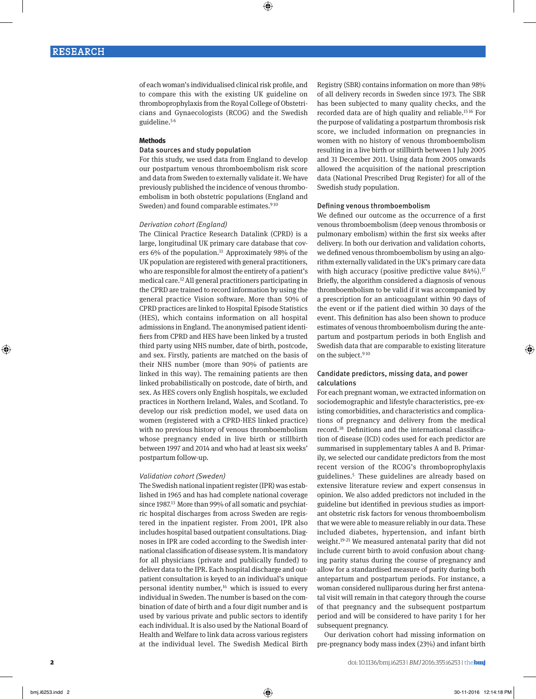of each woman's individualised clinical risk profile, and to compare this with the existing UK guideline on thromboprophylaxis from the Royal College of Obstetricians and Gynaecologists (RCOG) and the Swedish guideline.5 <sup>6</sup>

#### **Methods**

#### Data sources and study population

For this study, we used data from England to develop our postpartum venous thromboembolism risk score and data from Sweden to externally validate it. We have previously published the incidence of venous thromboembolism in both obstetric populations (England and Sweden) and found comparable estimates.<sup>910</sup>

#### *Derivation cohort (England)*

The Clinical Practice Research Datalink (CPRD) is a large, longitudinal UK primary care database that covers 6% of the population.<sup>11</sup> Approximately 98% of the UK population are registered with general practitioners, who are responsible for almost the entirety of a patient's medical care.12 All general practitioners participating in the CPRD are trained to record information by using the general practice Vision software. More than 50% of CPRD practices are linked to Hospital Episode Statistics (HES), which contains information on all hospital admissions in England. The anonymised patient identifiers from CPRD and HES have been linked by a trusted third party using NHS number, date of birth, postcode, and sex. Firstly, patients are matched on the basis of their NHS number (more than 90% of patients are linked in this way). The remaining patients are then linked probabilistically on postcode, date of birth, and sex. As HES covers only English hospitals, we excluded practices in Northern Ireland, Wales, and Scotland. To develop our risk prediction model, we used data on women (registered with a CPRD-HES linked practice) with no previous history of venous thromboembolism whose pregnancy ended in live birth or stillbirth between 1997 and 2014 and who had at least six weeks' postpartum follow-up.

#### *Validation cohort (Sweden)*

The Swedish national inpatient register (IPR) was established in 1965 and has had complete national coverage since 1987.<sup>13</sup> More than 99% of all somatic and psychiatric hospital discharges from across Sweden are registered in the inpatient register. From 2001, IPR also includes hospital based outpatient consultations. Diagnoses in IPR are coded according to the Swedish international classification of disease system. It is mandatory for all physicians (private and publically funded) to deliver data to the IPR. Each hospital discharge and outpatient consultation is keyed to an individual's unique personal identity number,<sup>14</sup> which is issued to every individual in Sweden. The number is based on the combination of date of birth and a four digit number and is used by various private and public sectors to identify each individual. It is also used by the National Board of Health and Welfare to link data across various registers at the individual level. The Swedish Medical Birth

Registry (SBR) contains information on more than 98% of all delivery records in Sweden since 1973. The SBR has been subjected to many quality checks, and the recorded data are of high quality and reliable.15 16 For the purpose of validating a postpartum thrombosis risk score, we included information on pregnancies in women with no history of venous thromboembolism resulting in a live birth or stillbirth between 1 July 2005 and 31 December 2011. Using data from 2005 onwards allowed the acquisition of the national prescription data (National Prescribed Drug Register) for all of the Swedish study population.

#### Defining venous thromboembolism

We defined our outcome as the occurrence of a first venous thromboembolism (deep venous thrombosis or pulmonary embolism) within the first six weeks after delivery. In both our derivation and validation cohorts, we defined venous thromboembolism by using an algorithm externally validated in the UK's primary care data with high accuracy (positive predictive value  $84\%$ ).<sup>17</sup> Briefly, the algorithm considered a diagnosis of venous thromboembolism to be valid if it was accompanied by a prescription for an anticoagulant within 90 days of the event or if the patient died within 30 days of the event. This definition has also been shown to produce estimates of venous thromboembolism during the antepartum and postpartum periods in both English and Swedish data that are comparable to existing literature on the subject.<sup>910</sup>

## Candidate predictors, missing data, and power calculations

For each pregnant woman, we extracted information on sociodemographic and lifestyle characteristics, pre-existing comorbidities, and characteristics and complications of pregnancy and delivery from the medical record.18 Definitions and the international classification of disease (ICD) codes used for each predictor are summarised in supplementary tables A and B. Primarily, we selected our candidate predictors from the most recent version of the RCOG's thromboprophylaxis guidelines.5 These guidelines are already based on extensive literature review and expert consensus in opinion. We also added predictors not included in the guideline but identified in previous studies as important obstetric risk factors for venous thromboembolism that we were able to measure reliably in our data. These included diabetes, hypertension, and infant birth weight.19-21 We measured antenatal parity that did not include current birth to avoid confusion about changing parity status during the course of pregnancy and allow for a standardised measure of parity during both antepartum and postpartum periods. For instance, a woman considered nulliparous during her first antenatal visit will remain in that category through the course of that pregnancy and the subsequent postpartum period and will be considered to have parity 1 for her subsequent pregnancy.

Our derivation cohort had missing information on pre-pregnancy body mass index (23%) and infant birth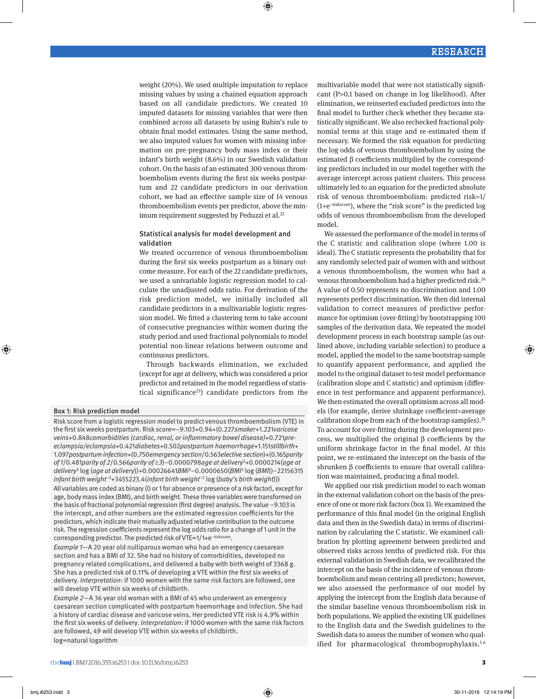weight (20%). We used multiple imputation to replace missing values by using a chained equation approach based on all candidate predictors. We created 10 imputed datasets for missing variables that were then combined across all datasets by using Rubin's rule to obtain final model estimates. Using the same method, we also imputed values for women with missing information on pre-pregnancy body mass index or their infant's birth weight (8.6%) in our Swedish validation cohort. On the basis of an estimated 300 venous thromboembolism events during the first six weeks postpartum and 22 candidate predictors in our derivation cohort, we had an effective sample size of 14 venous thromboembolism events per predictor, above the minimum requirement suggested by Peduzzi et al.<sup>22</sup>

## Statistical analysis for model development and validation

We treated occurrence of venous thromboembolism during the first six weeks postpartum as a binary outcome measure. For each of the 22 candidate predictors, we used a univariable logistic regression model to calculate the unadjusted odds ratio. For derivation of the risk prediction model, we initially included all candidate predictors in a multivariable logistic regression model. We fitted a clustering term to take account of consecutive pregnancies within women during the study period and used fractional polynomials to model potential non-linear relations between outcome and continuous predictors.

Through backwards elimination, we excluded (except for age at delivery, which was considered a prior predictor and retained in the model regardless of statistical significance<sup>23</sup>) candidate predictors from the

#### Box 1: Risk prediction model

Risk score from a logistic regression model to predict venous thromboembolism (VTE) in the first six weeks postpartum. Risk score=−9.103+0.94×(0.227*smoker*+1.221*varicose veins*+0.848*comorbidities (cardiac, renal, or inflammatory bowel disease)*+0.721*preeclampsia/eclampsia*+0.421*diabetes*+0.502*postpartum haemorrhage*+1.151*stillbirth*+ 1.097*postpartum infection*+(0.750*emergency section*/0.563*elective section*)+(0.165*parity of 1*/0.481*parity of 2*/0.566*parity of* ≥*3*)–0.0000798*age at delivery*3+0.0000214(*age at delivery*3 log (*age at delivery*))+0.00026641*BMI*3−0.0000650(*BMI*3 log (*BMI*))−22156315 *infant birth weight*−2+3455223.4(*infant birth weight*−2 log (*baby's birth weight*))) All variables are coded as binary (0 or 1 for absence or presence of a risk factor), except for age, body mass index (BMI), and birth weight. These three variables were transformed on the basis of fractional polynomial regression (first degree) analysis. The value −9.103 is the intercept, and other numbers are the estimated regression coefficients for the predictors, which indicate their mutually adjusted relative contribution to the outcome risk. The regression coefficients represent the log odds ratio for a change of 1 unit in the corresponding predictor. The predicted risk of VTE=1/1+e−riskscore.

*Example 1*—A 20 year old nulliparous woman who had an emergency caesarean section and has a BMI of 32. She had no history of comorbidities, developed no pregnancy related complications, and delivered a baby with birth weight of 3368 g. She has a predicted risk of 0.11% of developing a VTE within the first six weeks of delivery. *Interpretation*: if 1000 women with the same risk factors are followed, one will develop VTE within six weeks of childbirth.

*Example 2*—A 36 year old woman with a BMI of 45 who underwent an emergency caesarean section complicated with postpartum haemorrhage and infection. She had a history of cardiac disease and varicose veins. Her predicted VTE risk is 4.9% within the first six weeks of delivery. *Interpretation*: if 1000 women with the same risk factors are followed, 49 will develop VTE within six weeks of childbirth. log=natural logarithm

multivariable model that were not statistically significant (P>0.1 based on change in log likelihood). After elimination, we reinserted excluded predictors into the final model to further check whether they became statistically significant. We also rechecked fractional polynomial terms at this stage and re-estimated them if necessary. We formed the risk equation for predicting the log odds of venous thromboembolism by using the estimated β coefficients multiplied by the corresponding predictors included in our model together with the average intercept across patient clusters. This process ultimately led to an equation for the predicted absolute risk of venous thromboembolism: predicted risk=1/ (1+e<sup>−</sup>riskscore), where the "risk score" is the predicted log odds of venous thromboembolism from the developed model.

We assessed the performance of the model in terms of the C statistic and calibration slope (where 1.00 is ideal). The C statistic represents the probability that for any randomly selected pair of women with and without a venous thromboembolism, the women who had a venous thromboembolism had a higher predicted risk.<sup>24</sup> A value of 0.50 represents no discrimination and 1.00 represents perfect discrimination. We then did internal validation to correct measures of predictive performance for optimism (over-fitting) by bootstrapping 100 samples of the derivation data. We repeated the model development process in each bootstrap sample (as outlined above, including variable selection) to produce a model, applied the model to the same bootstrap sample to quantify apparent performance, and applied the model to the original dataset to test model performance (calibration slope and C statistic) and optimism (difference in test performance and apparent performance). We then estimated the overall optimism across all models (for example, derive shrinkage coefficient=average calibration slope from each of the bootstrap samples).25 To account for over-fitting during the development process, we multiplied the original β coefficients by the uniform shrinkage factor in the final model. At this point, we re-estimated the intercept on the basis of the shrunken β coefficients to ensure that overall calibration was maintained, producing a final model.

We applied our risk prediction model to each woman in the external validation cohort on the basis of the presence of one or more risk factors (box 1). We examined the performance of this final model (in the original English data and then in the Swedish data) in terms of discrimination by calculating the C statistic. We examined calibration by plotting agreement between predicted and observed risks across tenths of predicted risk. For this external validation in Swedish data, we recalibrated the intercept on the basis of the incidence of venous thromboembolism and mean centring all predictors; however, we also assessed the performance of our model by applying the intercept from the English data because of the similar baseline venous thromboembolism risk in both populations. We applied the existing UK guidelines to the English data and the Swedish guidelines to the Swedish data to assess the number of women who qualified for pharmacological thromboprophylaxis.<sup>56</sup>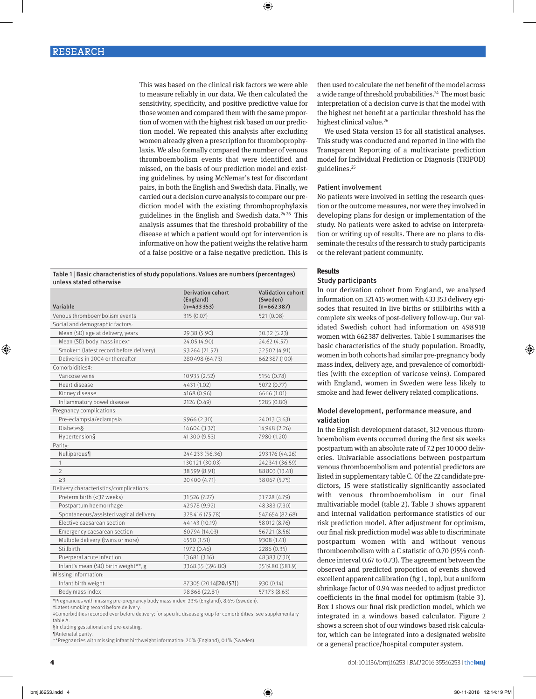This was based on the clinical risk factors we were able to measure reliably in our data. We then calculated the sensitivity, specificity, and positive predictive value for those women and compared them with the same proportion of women with the highest risk based on our prediction model. We repeated this analysis after excluding women already given a prescription for thromboprophylaxis. We also formally compared the number of venous thromboembolism events that were identified and missed, on the basis of our prediction model and existing guidelines, by using McNemar's test for discordant pairs, in both the English and Swedish data. Finally, we carried out a decision curve analysis to compare our prediction model with the existing thromboprophylaxis guidelines in the English and Swedish data.<sup>24,26</sup> This analysis assumes that the threshold probability of the disease at which a patient would opt for intervention is informative on how the patient weighs the relative harm of a false positive or a false negative prediction. This is

Table 1 | Basic characteristics of study populations. Values are numbers (percentages) unless stated otherwise

| Variable                                | <b>Derivation cohort</b><br>(England)<br>$(n=433353)$ | <b>Validation cohort</b><br>(Sweden)<br>$(n=662387)$ |
|-----------------------------------------|-------------------------------------------------------|------------------------------------------------------|
| Venous thromboembolism events           | 315 (0.07)                                            | 521 (0.08)                                           |
| Social and demographic factors:         |                                                       |                                                      |
| Mean (SD) age at delivery, years        | 29.38 (5.90)                                          | 30.32 (5.23)                                         |
| Mean (SD) body mass index*              | 24.05 (4.90)                                          | 24.62 (4.57)                                         |
| Smokert (latest record before delivery) | 93 264 (21.52)                                        | 32502 (4.91)                                         |
| Deliveries in 2004 or thereafter        | 280498 (64.73)                                        | 662387 (100)                                         |
| Comorbidities‡:                         |                                                       |                                                      |
| Varicose veins                          | 10 9 35 (2.52)                                        | 5156 (0.78)                                          |
| Heart disease                           | 4431 (1.02)                                           | 5072 (0.77)                                          |
| Kidney disease                          | 4168 (0.96)                                           | 6666 (1.01)                                          |
| Inflammatory bowel disease              | 2126 (0.49)                                           | 5285 (0.80)                                          |
| Pregnancy complications:                |                                                       |                                                      |
| Pre-eclampsia/eclampsia                 | 9966 (2.30)                                           | 24 013 (3.63)                                        |
| Diabetes§                               | 14604 (3.37)                                          | 14948 (2.26)                                         |
| Hypertension§                           | 41300 (9.53)                                          | 7980 (1.20)                                          |
| Parity:                                 |                                                       |                                                      |
| Nulliparous                             | 244 233 (56.36)                                       | 293176 (44.26)                                       |
| $\mathbf{1}$                            | 130121 (30.03)                                        | 242341 (36.59)                                       |
| $\overline{2}$                          | 38599 (8.91)                                          | 88803 (13.41)                                        |
| $\geq$ 3                                | 20400 (4.71)                                          | 38067 (5.75)                                         |
| Delivery characteristics/complications: |                                                       |                                                      |
| Preterm birth (<37 weeks)               | 31 526 (7.27)                                         | 31728 (4.79)                                         |
| Postpartum haemorrhage                  | 42 978 (9.92)                                         | 48383 (7.30)                                         |
| Spontaneous/assisted vaginal delivery   | 328416 (75.78)                                        | 547654 (82.68)                                       |
| Elective caesarean section              | 44143 (10.19)                                         | 58 012 (8.76)                                        |
| Emergency caesarean section             | 60794 (14.03)                                         | 56721 (8.56)                                         |
| Multiple delivery (twins or more)       | 6550 (1.51)                                           | 9308 (1.41)                                          |
| Stillbirth                              | 1972 (0.46)                                           | 2286 (0.35)                                          |
| Puerperal acute infection               | 13681 (3.16)                                          | 48383 (7.30)                                         |
| Infant's mean (SD) birth weight**, g    | 3368.35 (596.80)                                      | 3519.80 (581.9)                                      |
| Missing information:                    |                                                       |                                                      |
| Infant birth weight                     | 87305 (20.14 [20.15?])                                | 930 (0.14)                                           |
| Body mass index                         | 98868 (22.81)                                         | 57173 (8.63)                                         |

\*Pregnancies with missing pre-pregnancy body mass index: 23% (England), 8.6% (Sweden).

†Latest smoking record before delivery.

‡Comorbidities recorded ever before delivery; for specific disease group for comorbidities, see supplementary table A.

§Including gestational and pre-existing.

¶Antenatal parity.

\*\*Pregnancies with missing infant birthweight information: 20% (England), 0.1% (Sweden).

then used to calculate the net benefit of the model across a wide range of threshold probabilities.<sup>24</sup> The most basic interpretation of a decision curve is that the model with the highest net benefit at a particular threshold has the highest clinical value.<sup>26</sup>

We used Stata version 13 for all statistical analyses. This study was conducted and reported in line with the Transparent Reporting of a multivariate prediction model for Individual Prediction or Diagnosis (TRIPOD) guidelines.25

#### Patient involvement

No patients were involved in setting the research question or the outcome measures, nor were they involved in developing plans for design or implementation of the study. No patients were asked to advise on interpretation or writing up of results. There are no plans to disseminate the results of the research to study participants or the relevant patient community.

#### **Results**

#### Study participants

In our derivation cohort from England, we analysed information on 321415 women with 433 353 delivery episodes that resulted in live births or stillbirths with a complete six weeks of post-delivery follow-up. Our validated Swedish cohort had information on 498 918 women with 662 387 deliveries. Table 1 summarises the basic characteristics of the study population. Broadly, women in both cohorts had similar pre-pregnancy body mass index, delivery age, and prevalence of comorbidities (with the exception of varicose veins). Compared with England, women in Sweden were less likely to smoke and had fewer delivery related complications.

## Model development, performance measure, and validation

In the English development dataset, 312 venous thromboembolism events occurred during the first six weeks postpartum with an absolute rate of 7.2 per 10000 deliveries. Univariable associations between postpartum venous thromboembolism and potential predictors are listed in supplementary table C. Of the 22 candidate predictors, 15 were statistically significantly associated with venous thromboembolism in our final multivariable model (table 2). Table 3 shows apparent and internal validation performance statistics of our risk prediction model. After adjustment for optimism, our final risk prediction model was able to discriminate postpartum women with and without venous thromboembolism with a C statistic of 0.70 (95% confidence interval 0.67 to 0.73). The agreement between the observed and predicted proportion of events showed excellent apparent calibration (fig 1 , top), but a uniform shrinkage factor of 0.94 was needed to adjust predictor coefficients in the final model for optimism (table 3 ). Box 1 shows our final risk prediction model, which we integrated in a windows based calculator. Figure 2 shows a screen shot of our windows based risk calculator, which can be integrated into a designated website or a general practice/hospital computer system.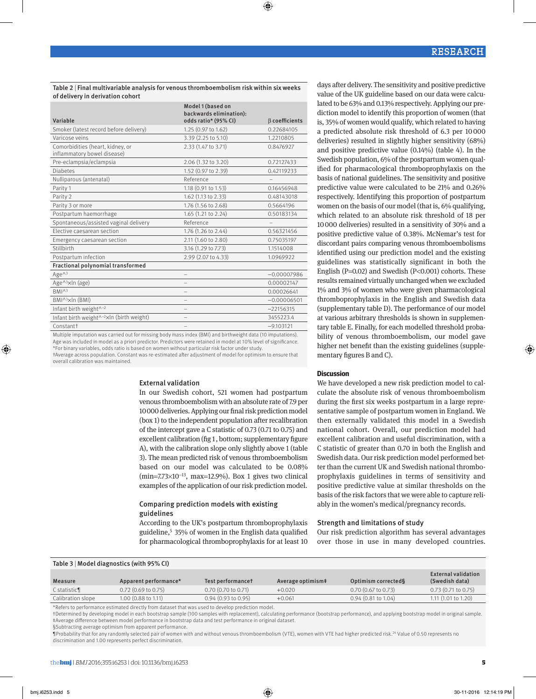Table 2 | Final multivariable analysis for venous thromboembolism risk within six weeks of delivery in derivation cohort

| Variable                                                        | Model 1 (based on<br>backwards elimination):<br>odds ratio* (95% CI) | <b>B</b> coefficients |
|-----------------------------------------------------------------|----------------------------------------------------------------------|-----------------------|
| Smoker (latest record before delivery)                          | 1.25 (0.97 to 1.62)                                                  | 0.22684105            |
| Varicose veins                                                  | 3.39 (2.25 to 5.10)                                                  | 1.2210805             |
| Comorbidities (heart, kidney, or<br>inflammatory bowel disease) | 2.33 (1.47 to 3.71)                                                  | 0.8476927             |
| Pre-eclampsia/eclampsia                                         | 2.06 (1.32 to 3.20)                                                  | 0.72127433            |
| <b>Diabetes</b>                                                 | 1.52 (0.97 to 2.39)                                                  | 0.42119233            |
| Nulliparous (antenatal)                                         | Reference                                                            |                       |
| Parity 1                                                        | 1.18 (0.91 to 1.53)                                                  | 0.16456948            |
| Parity 2                                                        | 1.62 (1.13 to 2.33)                                                  | 0.48143018            |
| Parity 3 or more                                                | 1.76 (1.56 to 2.68)                                                  | 0.5664196             |
| Postpartum haemorrhage                                          | 1.65 (1.21 to 2.24)                                                  | 0.50183134            |
| Spontaneous/assisted vaginal delivery                           | Reference                                                            |                       |
| Elective caesarean section                                      | 1.76 (1.26 to 2.44)                                                  | 0.56321456            |
| Emergency caesarean section                                     | 2.11 (1.60 to 2.80)                                                  | 0.75035197            |
| Stillbirth                                                      | 3.16 (1.29 to 7.73)                                                  | 1.1514008             |
| Postpartum infection                                            | 2.99 (2.07 to 4.33)                                                  | 1.0969922             |
| Fractional polynomial transformed                               |                                                                      |                       |
| $Age^{\wedge 3}$                                                |                                                                      | $-0.00007986$         |
| Age $\wedge$ <sup>3</sup> $\times$ In (age)                     |                                                                      | 0.00002147            |
| $BMI^{3}$                                                       |                                                                      | 0.00026641            |
| BMI^3xln (BMI)                                                  |                                                                      | $-0.00006501$         |
| Infant birth weight $\wedge \neg 2$                             |                                                                      | $-22156315$           |
| Infant birth weight^-2xln (birth weight)                        |                                                                      | 3455223.4             |
| Constantt                                                       |                                                                      | $-9.103121$           |

Multiple imputation was carried out for missing body mass index (BMI) and birthweight data (10 imputations). Age was included in model as a priori predictor. Predictors were retained in model at 10% level of significance. \*For binary variables, odds ratio is based on women without particular risk factor under study. †Average across population. Constant was re-estimated after adjustment of model for optimism to ensure that overall calibration was maintained.

#### External validation

In our Swedish cohort, 521 women had postpartum venous thromboembolism with an absolute rate of 7.9 per 10000 deliveries. Applying our final risk prediction model (box 1) to the independent population after recalibration of the intercept gave a C statistic of 0.73 (0.71 to 0.75) and excellent calibration (fig 1, bottom; supplementary figure A), with the calibration slope only slightly above 1 (table 3). The mean predicted risk of venous thromboembolism based on our model was calculated to be 0.08% (min=7.73×10<sup>−</sup>13, max=12.9%). Box 1 gives two clinical examples of the application of our risk prediction model.

## Comparing prediction models with existing guidelines

According to the UK's postpartum thromboprophylaxis guideline,5 35% of women in the English data qualified for pharmacological thromboprophylaxis for at least 10 days after delivery. The sensitivity and positive predictive value of the UK guideline based on our data were calculated to be 63% and 0.13% respectively. Applying our prediction model to identify this proportion of women (that is, 35% of women would qualify, which related to having a predicted absolute risk threshold of 6.3 per 10000 deliveries) resulted in slightly higher sensitivity (68%) and positive predictive value (0.14%) (table 4). In the Swedish population, 6% of the postpartum women qualified for pharmacological thromboprophylaxis on the basis of national guidelines. The sensitivity and positive predictive value were calculated to be 21% and 0.26% respectively. Identifying this proportion of postpartum women on the basis of our model (that is, 6% qualifying, which related to an absolute risk threshold of 18 per 10000 deliveries) resulted in a sensitivity of 30% and a positive predictive value of 0.38%. McNemar's test for discordant pairs comparing venous thromboembolisms identified using our prediction model and the existing guidelines was statistically significant in both the English ( $P=0.02$ ) and Swedish ( $P<0.001$ ) cohorts. These results remained virtually unchanged when we excluded 1% and 3% of women who were given pharmacological thromboprophylaxis in the English and Swedish data (supplementary table D). The performance of our model at various arbitrary thresholds is shown in supplementary table E. Finally, for each modelled threshold probability of venous thromboembolism, our model gave higher net benefit than the existing guidelines (supplementary figures B and C).

#### **Discussion**

We have developed a new risk prediction model to calculate the absolute risk of venous thromboembolism during the first six weeks postpartum in a large representative sample of postpartum women in England. We then externally validated this model in a Swedish national cohort. Overall, our prediction model had excellent calibration and useful discrimination, with a C statistic of greater than 0.70 in both the English and Swedish data. Our risk prediction model performed better than the current UK and Swedish national thromboprophylaxis guidelines in terms of sensitivity and positive predictive value at similar thresholds on the basis of the risk factors that we were able to capture reliably in the women's medical/pregnancy records.

## Strength and limitations of study

Our risk prediction algorithm has several advantages over those in use in many developed countries.

| <b>Measure</b>    | Apparent performance* | Test performancet             | Average optimism‡ | Optimism corrected§   | External validation<br>(Swedish data) |
|-------------------|-----------------------|-------------------------------|-------------------|-----------------------|---------------------------------------|
| C statistic¶      | $0.72$ (0.69 to 0.75) | $0.70$ (0.70 to 0.71)         | $+0.020$          | $0.70$ (0.67 to 0.73) | $0.73$ (0.71 to 0.75)                 |
| Calibration slope | $1.00$ (0.88 to 1.11) | $0.94(0.93 \text{ to } 0.95)$ | $+0.061$          | $0.94$ (0.81 to 1.04) | 1.11(1.01 to 1.20)                    |
|                   |                       |                               |                   |                       |                                       |

Refers to performance estimated directly from dataset that was used to develop prediction model

†Determined by developing model in each bootstrap sample (100 samples with replacement), calculating performance (bootstrap performance), and applying bootstrap model in original sample. ‡Average difference between model performance in bootstrap data and test performance in original dataset.

§Subtracting average optimism from apparent performance.

Table 3 | Model diagnostics (with 95% CI)

¶Probability that for any randomly selected pair of women with and without venous thromboembolism (VTE), women with VTE had higher predicted risk.24 Value of 0.50 represents no discrimination and 1.00 represents perfect discrimination.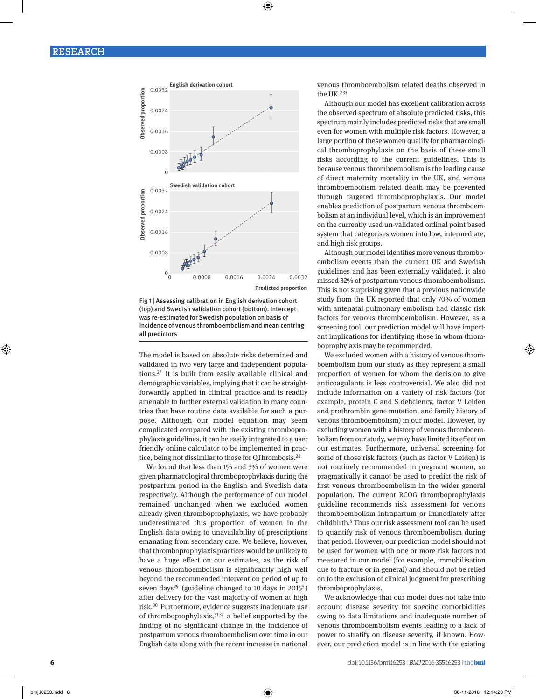

Fig 1 | Assessing calibration in English derivation cohort (top) and Swedish validation cohort (bottom). Intercept was re-estimated for Swedish population on basis of incidence of venous thromboembolism and mean centring all predictors

The model is based on absolute risks determined and validated in two very large and independent populations.27 It is built from easily available clinical and demographic variables, implying that it can be straightforwardly applied in clinical practice and is readily amenable to further external validation in many countries that have routine data available for such a purpose. Although our model equation may seem complicated compared with the existing thromboprophylaxis guidelines, it can be easily integrated to a user friendly online calculator to be implemented in practice, being not dissimilar to those for QThrombosis.28

We found that less than 1% and 3% of women were given pharmacological thromboprophylaxis during the postpartum period in the English and Swedish data respectively. Although the performance of our model remained unchanged when we excluded women already given thromboprophylaxis, we have probably underestimated this proportion of women in the English data owing to unavailability of prescriptions emanating from secondary care. We believe, however, that thromboprophylaxis practices would be unlikely to have a huge effect on our estimates, as the risk of venous thromboembolism is significantly high well beyond the recommended intervention period of up to seven days<sup>29</sup> (guideline changed to 10 days in 2015<sup>5</sup>) after delivery for the vast majority of women at high risk.30 Furthermore, evidence suggests inadequate use of thromboprophylaxis, $3132$  a belief supported by the finding of no significant change in the incidence of postpartum venous thromboembolism over time in our English data along with the recent increase in national

venous thromboembolism related deaths observed in the UK.<sup>233</sup>

Although our model has excellent calibration across the observed spectrum of absolute predicted risks, this spectrum mainly includes predicted risks that are small even for women with multiple risk factors. However, a large portion of these women qualify for pharmacological thromboprophylaxis on the basis of these small risks according to the current guidelines. This is because venous thromboembolism is the leading cause of direct maternity mortality in the UK, and venous thromboembolism related death may be prevented through targeted thromboprophylaxis. Our model enables prediction of postpartum venous thromboembolism at an individual level, which is an improvement on the currently used un-validated ordinal point based system that categorises women into low, intermediate, and high risk groups.

Although our model identifies more venous thromboembolism events than the current UK and Swedish guidelines and has been externally validated, it also missed 32% of postpartum venous thromboembolisms. This is not surprising given that a previous nationwide study from the UK reported that only 70% of women with antenatal pulmonary embolism had classic risk factors for venous thromboembolism. However, as a screening tool, our prediction model will have important implications for identifying those in whom thromboprophylaxis may be recommended.

We excluded women with a history of venous thromboembolism from our study as they represent a small proportion of women for whom the decision to give anticoagulants is less controversial. We also did not include information on a variety of risk factors (for example, protein C and S deficiency, factor V Leiden and prothrombin gene mutation, and family history of venous thromboembolism) in our model. However, by excluding women with a history of venous thromboembolism from our study, we may have limited its effect on our estimates. Furthermore, universal screening for some of those risk factors (such as factor V Leiden) is not routinely recommended in pregnant women, so pragmatically it cannot be used to predict the risk of first venous thromboembolism in the wider general population. The current RCOG thromboprophylaxis guideline recommends risk assessment for venous thromboembolism intrapartum or immediately after childbirth.5 Thus our risk assessment tool can be used to quantify risk of venous thromboembolism during that period. However, our prediction model should not be used for women with one or more risk factors not measured in our model (for example, immobilisation due to fracture or in general) and should not be relied on to the exclusion of clinical judgment for prescribing thromboprophylaxis.

We acknowledge that our model does not take into account disease severity for specific comorbidities owing to data limitations and inadequate number of venous thromboembolism events leading to a lack of power to stratify on disease severity, if known. However, our prediction model is in line with the existing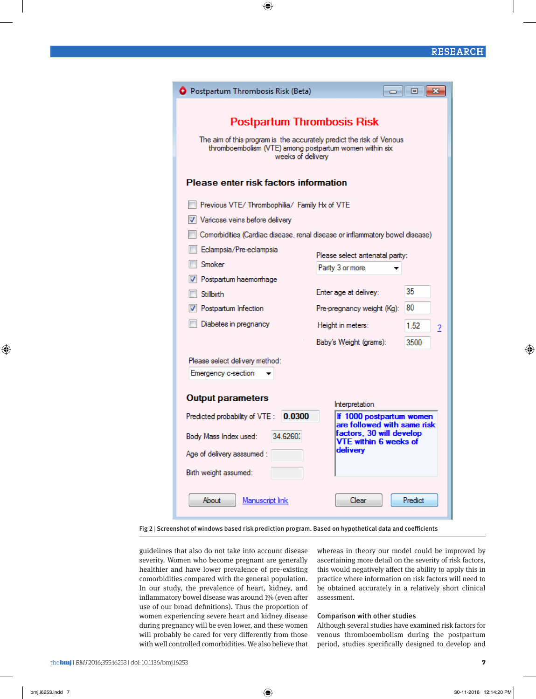| <b>O</b> Postpartum Thrombosis Risk (Beta)                                                                                                           | 23<br>- 0                                                                    |  |  |  |
|------------------------------------------------------------------------------------------------------------------------------------------------------|------------------------------------------------------------------------------|--|--|--|
|                                                                                                                                                      |                                                                              |  |  |  |
| <b>Postpartum Thrombosis Risk</b>                                                                                                                    |                                                                              |  |  |  |
| The aim of this program is the accurately predict the risk of Venous<br>thromboembolism (VTE) among postpartum women within six<br>weeks of delivery |                                                                              |  |  |  |
|                                                                                                                                                      |                                                                              |  |  |  |
| Please enter risk factors information                                                                                                                |                                                                              |  |  |  |
| Previous VTE/ Thrombophilia/ Family Hx of VTE                                                                                                        |                                                                              |  |  |  |
| V Varicose veins before delivery                                                                                                                     |                                                                              |  |  |  |
|                                                                                                                                                      | Comorbidities (Cardiac disease, renal disease or inflammatory bowel disease) |  |  |  |
| Eclampsia/Pre-eclampsia                                                                                                                              | Please select antenatal parity:                                              |  |  |  |
| Smoker                                                                                                                                               | Parity 3 or more                                                             |  |  |  |
| V Postpartum haemomhage                                                                                                                              |                                                                              |  |  |  |
| <b>Stillbirth</b>                                                                                                                                    | 35<br>Enter age at delivey:                                                  |  |  |  |
| V Postpartum Infection                                                                                                                               | 80<br>Pre-pregnancy weight (Kg):                                             |  |  |  |
| Diabetes in pregnancy                                                                                                                                | Height in meters:<br>1.52<br>2                                               |  |  |  |
|                                                                                                                                                      | Baby's Weight (grams):<br>3500                                               |  |  |  |
| Please select delivery method:                                                                                                                       |                                                                              |  |  |  |
| Emergency c-section                                                                                                                                  |                                                                              |  |  |  |
|                                                                                                                                                      |                                                                              |  |  |  |
| <b>Output parameters</b>                                                                                                                             | Interpretation                                                               |  |  |  |
| 0.0300<br>Predicted probability of VTE:                                                                                                              | If 1000 postpartum women<br>are followed with same risk                      |  |  |  |
| 34.6260.<br>Body Mass Index used:                                                                                                                    | factors, 30 will develop<br>VTE within 6 weeks of                            |  |  |  |
| Age of delivery asssumed :                                                                                                                           | delivery                                                                     |  |  |  |
| Birth weight assumed:                                                                                                                                |                                                                              |  |  |  |
| <b>About</b><br>Manuscript link                                                                                                                      | Predict<br>Clear                                                             |  |  |  |

Fig 2 | Screenshot of windows based risk prediction program. Based on hypothetical data and coefficients

guidelines that also do not take into account disease severity. Women who become pregnant are generally healthier and have lower prevalence of pre-existing comorbidities compared with the general population. In our study, the prevalence of heart, kidney, and inflammatory bowel disease was around 1% (even after use of our broad definitions). Thus the proportion of women experiencing severe heart and kidney disease during pregnancy will be even lower, and these women will probably be cared for very differently from those with well controlled comorbidities. We also believe that whereas in theory our model could be improved by ascertaining more detail on the severity of risk factors, this would negatively affect the ability to apply this in practice where information on risk factors will need to be obtained accurately in a relatively short clinical assessment.

## Comparison with other studies

Although several studies have examined risk factors for venous thromboembolism during the postpartum period, studies specifically designed to develop and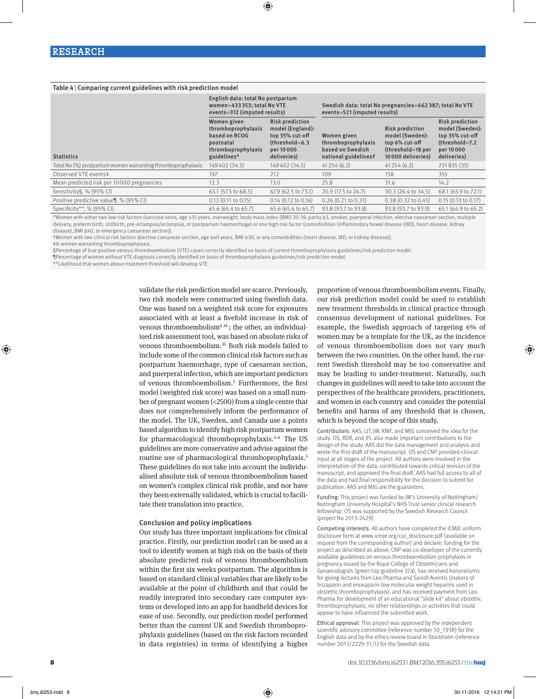#### Table 4 | Comparing current guidelines with risk prediction model

|                                                             | English data: total No postpartum<br>women=433353: total No VTE<br>events=312 (imputed results)      |                                                                                                                | Swedish data: total No pregnancies=662387; total No VTE<br>events=521 (imputed results) |                                                                                                       |                                                                                                             |
|-------------------------------------------------------------|------------------------------------------------------------------------------------------------------|----------------------------------------------------------------------------------------------------------------|-----------------------------------------------------------------------------------------|-------------------------------------------------------------------------------------------------------|-------------------------------------------------------------------------------------------------------------|
| <b>Statistics</b>                                           | Women given<br>thromboprophylaxis<br>based on RCOG<br>postnatal<br>thromboprophylaxis<br>guidelines* | <b>Risk prediction</b><br>model (England):<br>top 35% cut-off<br>(threshold= $6.3$<br>per 10000<br>deliveries) | Women given<br>thromboprophylaxis<br>based on Swedish<br>national guidelinest           | <b>Risk prediction</b><br>model (Sweden):<br>top 6% cut-off<br>(threshold=18 per<br>10000 deliveries) | <b>Risk prediction</b><br>model (Sweden):<br>top 35% cut-off<br>(threshold=7.2)<br>per 10000<br>deliveries) |
| Total No (%) postpartum women warranting thromboprophylaxis | 149 402 (34.5)                                                                                       | 149402 (34.5)                                                                                                  | 41254(6.2)                                                                              | 41254(6.2)                                                                                            | 231835 (35)                                                                                                 |
| Observed VTF events‡                                        | 197                                                                                                  | 212                                                                                                            | 109                                                                                     | 158                                                                                                   | 355                                                                                                         |
| Mean predicted risk per 10000 pregnancies                   | 12.3                                                                                                 | 13.0                                                                                                           | 25.8                                                                                    | 31.6                                                                                                  | 14.2                                                                                                        |
| Sensitivity§, % (95% CI)                                    | 63.1 (57.5 to 68.5)                                                                                  | 67.9 (62.5 to 73.1)                                                                                            | 20.9 (17.5 to 24.7)                                                                     | 30.3 (26.4 to 34.5)                                                                                   | 68.1 (63.9 to 72.1)                                                                                         |
| Positive predictive value¶, % (95% CI)                      | $0.13$ (0.11 to 0.15)                                                                                | $0.14$ $(0.12$ to $0.16)$                                                                                      | 0.26(0.21 to 0.31)                                                                      | $0.38(0.32 \text{ to } 0.45)$                                                                         | $0.15(0.13 \text{ to } 0.17)$                                                                               |
| Specificity**, % (95% CI)                                   | 65.6 (65.4 to 65.7)                                                                                  | 65.6 (65.4 to 65.7)                                                                                            | 93.8 (93.7 to 93.8)                                                                     | 93.8 (93.7 to 93.9)                                                                                   | 65.1 (64.9 to 65.2)                                                                                         |

\*Women with either two low risk factors (varicose veins, age >35 years, overweight, body mass index (BMI) 30-39, parity ≥3, smoker, puerperal infection, elective caesarean section, multiple delivery, preterm birth, stillbirth, pre-eclampsia/eclampsia, or postpartum haemorrhage) or one high risk factor (comorbidities (inflammatory bowel disease (IBD), heart disease, kidney disease), BMI ≥40, or emergency caesarean section)).

†Women with two clinical risk factors (elective caesarean section, age ≥40 years, BMI ≥30, or any comorbidities (heart disease, IBD, or kidney disease)).

‡In women warranting thromboprophylaxis.

§Percentage of true positive venous thromboembolism (VTE) cases correctly identified on basis of current thromboprophylaxis guidelines/risk prediction model.

¶Percentage of women without VTE diagnosis correctly identified on basis of thromboprophylaxis guidelines/risk prediction model.

\*\*Likelihood that women above treatment threshold will develop VTE.

validate the risk prediction model are scarce. Previously, two risk models were constructed using Swedish data. One was based on a weighted risk score for exposures associated with at least a fivefold increase in risk of venous thromboembolism<sup>634</sup>; the other, an individualised risk assessment tool, was based on absolute risks of venous thromboembolism.35 Both risk models failed to include some of the common clinical risk factors such as postpartum haemorrhage, type of caesarean section, and puerperal infection, which are important predictors of venous thromboembolism.5 Furthermore, the first model (weighted risk score) was based on a small number of pregnant women (<2500) from a single centre that does not comprehensively inform the performance of the model. The UK, Sweden, and Canada use a points based algorithm to identify high risk postpartum women for pharmacological thromboprophylaxis.<sup>4-6</sup> The US guidelines are more conservative and advise against the routine use of pharmacological thromboprophylaxis.3 These guidelines do not take into account the individualised absolute risk of venous thromboembolism based on women's complex clinical risk profile, and nor have they been externally validated, which is crucial to facilitate their translation into practice.

#### Conclusion and policy implications

Our study has three important implications for clinical practice. Firstly, our prediction model can be used as a tool to identify women at high risk on the basis of their absolute predicted risk of venous thromboembolism within the first six weeks postpartum. The algorithm is based on standard clinical variables that are likely to be available at the point of childbirth and that could be readily integrated into secondary care computer systems or developed into an app for handheld devices for ease of use. Secondly, our prediction model performed better than the current UK and Swedish thromboprophylaxis guidelines (based on the risk factors recorded in data registries) in terms of identifying a higher

proportion of venous thromboembolism events. Finally, our risk prediction model could be used to establish new treatment thresholds in clinical practice through consensus development of national guidelines. For example, the Swedish approach of targeting 6% of women may be a template for the UK, as the incidence of venous thromboembolism does not vary much between the two countries. On the other hand, the current Swedish threshold may be too conservative and may be leading to under-treatment. Naturally, such changes in guidelines will need to take into account the perspectives of the healthcare providers, practitioners, and women in each country and consider the potential benefits and harms of any threshold that is chosen, which is beyond the scope of this study.

Contributors: AAS, LJT, JW, KMF, and MJG conceived the idea for the study. OS, RDR, and JFL also made important contributions to the design of the study. AAS did the data management and analysis and wrote the first draft of the manuscript. OS and CNP provided clinical input at all stages of the project. All authors were involved in the interpretation of the data, contributed towards critical revision of the manuscript, and approved the final draft. AAS had full access to all of the data and had final responsibility for the decision to submit for publication. AAS and MJG are the guarantors.

Funding: This project was funded by JW's University of Nottingham/ Nottingham University Hospital's NHS Trust senior clinical research fellowship. OS was supported by the Swedish Research Council (project No 2013-2429).

Competing interests: All authors have completed the ICMJE uniform disclosure form at www.icmje.org/coi\_disclosure.pdf (available on request from the corresponding author) and declare: funding for the project as described as above; CNP was co-developer of the currently available guidelines on venous thromboembolism prophylaxis in pregnancy issued by the Royal College of Obstetricians and Gynaecologists (green top guideline 37a), has received honorariums for giving lectures from Leo Pharma and Sanofi Aventis (makers of tinzaparin and enoxaparin low molecular weight heparins used in obstetric thromboprophylaxis), and has received payment from Leo Pharma for development of an educational "slide kit" about obstetric thromboprophylaxis; no other relationships or activities that could appear to have influenced the submitted work.

Ethical approval: This project was approved by the independent scientific advisory committee (reference number 10\_193R) for the English data and by the ethics review board in Stockholm (reference number 2013/2229-31/1) for the Swedish data.